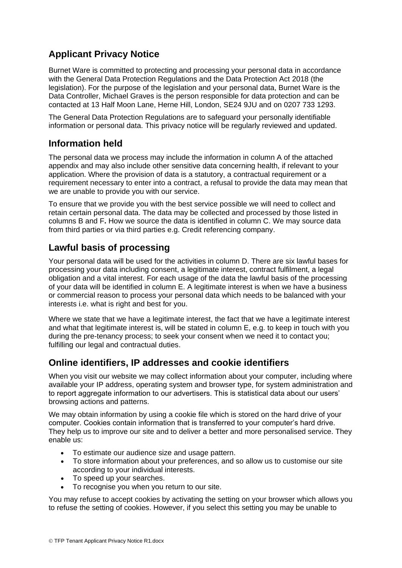# **Applicant Privacy Notice**

Burnet Ware is committed to protecting and processing your personal data in accordance with the General Data Protection Regulations and the Data Protection Act 2018 (the legislation). For the purpose of the legislation and your personal data, Burnet Ware is the Data Controller, Michael Graves is the person responsible for data protection and can be contacted at 13 Half Moon Lane, Herne Hill, London, SE24 9JU and on 0207 733 1293.

The General Data Protection Regulations are to safeguard your personally identifiable information or personal data. This privacy notice will be regularly reviewed and updated.

### **Information held**

The personal data we process may include the information in column A of the attached appendix and may also include other sensitive data concerning health, if relevant to your application. Where the provision of data is a statutory, a contractual requirement or a requirement necessary to enter into a contract, a refusal to provide the data may mean that we are unable to provide you with our service.

To ensure that we provide you with the best service possible we will need to collect and retain certain personal data. The data may be collected and processed by those listed in columns B and F**.** How we source the data is identified in column C. We may source data from third parties or via third parties e.g. Credit referencing company.

# **Lawful basis of processing**

Your personal data will be used for the activities in column D. There are six lawful bases for processing your data including consent, a legitimate interest, contract fulfilment, a legal obligation and a vital interest. For each usage of the data the lawful basis of the processing of your data will be identified in column E. A legitimate interest is when we have a business or commercial reason to process your personal data which needs to be balanced with your interests i.e. what is right and best for you.

Where we state that we have a legitimate interest, the fact that we have a legitimate interest and what that legitimate interest is, will be stated in column E, e.g. to keep in touch with you during the pre-tenancy process; to seek your consent when we need it to contact you; fulfilling our legal and contractual duties.

# **Online identifiers, IP addresses and cookie identifiers**

When you visit our website we may collect information about your computer, including where available your IP address, operating system and browser type, for system administration and to report aggregate information to our advertisers. This is statistical data about our users' browsing actions and patterns.

We may obtain information by using a cookie file which is stored on the hard drive of your computer. Cookies contain information that is transferred to your computer's hard drive. They help us to improve our site and to deliver a better and more personalised service. They enable us:

- To estimate our audience size and usage pattern.
- To store information about your preferences, and so allow us to customise our site according to your individual interests.
- To speed up your searches.
- To recognise you when you return to our site.

You may refuse to accept cookies by activating the setting on your browser which allows you to refuse the setting of cookies. However, if you select this setting you may be unable to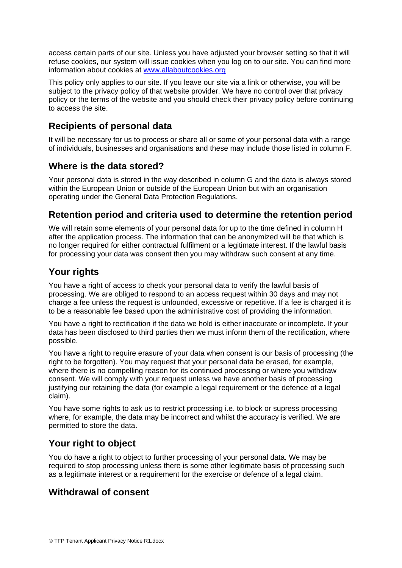access certain parts of our site. Unless you have adjusted your browser setting so that it will refuse cookies, our system will issue cookies when you log on to our site. You can find more information about cookies at [www.allaboutcookies.org](http://www.allaboutcookies.org/)

This policy only applies to our site. If you leave our site via a link or otherwise, you will be subject to the privacy policy of that website provider. We have no control over that privacy policy or the terms of the website and you should check their privacy policy before continuing to access the site.

## **Recipients of personal data**

It will be necessary for us to process or share all or some of your personal data with a range of individuals, businesses and organisations and these may include those listed in column F.

#### **Where is the data stored?**

Your personal data is stored in the way described in column G and the data is always stored within the European Union or outside of the European Union but with an organisation operating under the General Data Protection Regulations.

### **Retention period and criteria used to determine the retention period**

We will retain some elements of your personal data for up to the time defined in column H after the application process. The information that can be anonymized will be that which is no longer required for either contractual fulfilment or a legitimate interest. If the lawful basis for processing your data was consent then you may withdraw such consent at any time.

### **Your rights**

You have a right of access to check your personal data to verify the lawful basis of processing. We are obliged to respond to an access request within 30 days and may not charge a fee unless the request is unfounded, excessive or repetitive. If a fee is charged it is to be a reasonable fee based upon the administrative cost of providing the information.

You have a right to rectification if the data we hold is either inaccurate or incomplete. If your data has been disclosed to third parties then we must inform them of the rectification, where possible.

You have a right to require erasure of your data when consent is our basis of processing (the right to be forgotten). You may request that your personal data be erased, for example, where there is no compelling reason for its continued processing or where you withdraw consent. We will comply with your request unless we have another basis of processing justifying our retaining the data (for example a legal requirement or the defence of a legal claim).

You have some rights to ask us to restrict processing i.e. to block or supress processing where, for example, the data may be incorrect and whilst the accuracy is verified. We are permitted to store the data.

# **Your right to object**

You do have a right to object to further processing of your personal data. We may be required to stop processing unless there is some other legitimate basis of processing such as a legitimate interest or a requirement for the exercise or defence of a legal claim.

### **Withdrawal of consent**